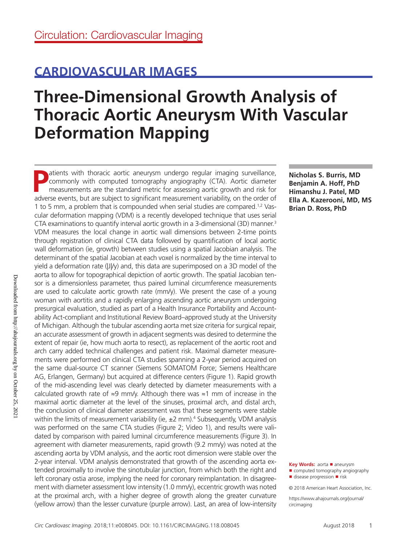## **CARDIOVASCULAR IMAGES**

# **Three-Dimensional Growth Analysis of Thoracic Aortic Aneurysm With Vascular Deformation Mapping**

atients with thoracic aortic aneurysm undergo regular imaging surveillance, commonly with computed tomography angiography (CTA). Aortic diameter measurements are the standard metric for assessing aortic growth and risk for adverse events, but are subject to significant measurement variability, on the order of 1 to 5 mm, a problem that is compounded when serial studies are compared.1,2 Vascular deformation mapping (VDM) is a recently developed technique that uses serial CTA examinations to quantify interval aortic growth in a 3-dimensional (3D) manner.3 VDM measures the local change in aortic wall dimensions between 2-time points through registration of clinical CTA data followed by quantification of local aortic wall deformation (ie, growth) between studies using a spatial Jacobian analysis. The determinant of the spatial Jacobian at each voxel is normalized by the time interval to yield a deformation rate (|J|/y) and, this data are superimposed on a 3D model of the aorta to allow for topographical depiction of aortic growth. The spatial Jacobian tensor is a dimensionless parameter, thus paired luminal circumference measurements are used to calculate aortic growth rate (mm/y). We present the case of a young woman with aortitis and a rapidly enlarging ascending aortic aneurysm undergoing presurgical evaluation, studied as part of a Health Insurance Portability and Accountability Act-compliant and Institutional Review Board–approved study at the University of Michigan. Although the tubular ascending aorta met size criteria for surgical repair, an accurate assessment of growth in adjacent segments was desired to determine the extent of repair (ie, how much aorta to resect), as replacement of the aortic root and arch carry added technical challenges and patient risk. Maximal diameter measurements were performed on clinical CTA studies spanning a 2-year period acquired on the same dual-source CT scanner (Siemens SOMATOM Force; Siemens Healthcare AG, Erlangen, Germany) but acquired at difference centers (Figure 1). Rapid growth of the mid-ascending level was clearly detected by diameter measurements with a calculated growth rate of ≈9 mm/y. Although there was ≈1 mm of increase in the maximal aortic diameter at the level of the sinuses, proximal arch, and distal arch, the conclusion of clinical diameter assessment was that these segments were stable within the limits of measurement variability (ie, ±2 mm).<sup>4</sup> Subsequently, VDM analysis was performed on the same CTA studies (Figure 2; Video 1), and results were validated by comparison with paired luminal circumference measurements (Figure 3). In agreement with diameter measurements, rapid growth (9.2 mm/y) was noted at the ascending aorta by VDM analysis, and the aortic root dimension were stable over the 2-year interval. VDM analysis demonstrated that growth of the ascending aorta extended proximally to involve the sinotubular junction, from which both the right and left coronary ostia arose, implying the need for coronary reimplantation. In disagreement with diameter assessment low intensity (1.0 mm/y), eccentric growth was noted at the proximal arch, with a higher degree of growth along the greater curvature (yellow arrow) than the lesser curvature (purple arrow). Last, an area of low-intensity

**Nicholas S. Burris, MD Benjamin A. Hoff, PhD Himanshu J. Patel, MD Ella A. Kazerooni, MD, MS Brian D. Ross, PhD**

**Key Words:** aorta ◼ aneurysm ■ computed tomography angiography

© 2018 American Heart Association, Inc.

https://www.ahajournals.org/journal/ circimaging

<sup>■</sup> disease progression ■ risk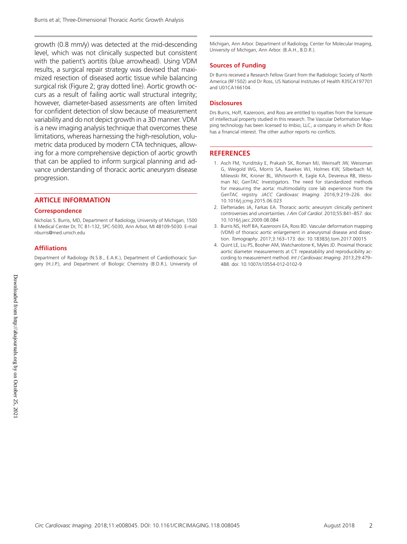growth (0.8 mm/y) was detected at the mid-descending level, which was not clinically suspected but consistent with the patient's aortitis (blue arrowhead). Using VDM results, a surgical repair strategy was devised that maximized resection of diseased aortic tissue while balancing surgical risk (Figure 2; gray dotted line). Aortic growth occurs as a result of failing aortic wall structural integrity; however, diameter-based assessments are often limited for confident detection of slow because of measurement variability and do not depict growth in a 3D manner. VDM is a new imaging analysis technique that overcomes these limitations, whereas harnessing the high-resolution, volumetric data produced by modern CTA techniques, allowing for a more comprehensive depiction of aortic growth that can be applied to inform surgical planning and advance understanding of thoracic aortic aneurysm disease progression.

#### **ARTICLE INFORMATION**

#### **Correspondence**

Nicholas S. Burris, MD, Department of Radiology, University of Michigan, 1500 E Medical Center Dr, TC B1-132, SPC-5030, Ann Arbor, MI 48109-5030. E-mail [nburris@med.umich.edu](mailto:nburris@med.umich.edu)

#### **Affiliations**

Department of Radiology (N.S.B., E.A.K.), Department of Cardiothoracic Surgery (H.J.P.), and Department of Biologic Chemistry (B.D.R.), University of

Michigan, Ann Arbor. Department of Radiology, Center for Molecular Imaging, University of Michigan, Ann Arbor. (B.A.H., B.D.R.).

#### **Sources of Funding**

Dr Burris received a Research Fellow Grant from the Radiologic Society of North America (RF1502) and Dr Ross, US National Institutes of Health R35CA197701 and U01CA166104.

#### **Disclosures**

Drs Burris, Hoff, Kazerooni, and Ross are entitled to royalties from the licensure of intellectual property studied in this research. The Vascular Deformation Mapping technology has been licensed to Imbio, LLC, a company in which Dr Ross has a financial interest. The other author reports no conflicts.

### **REFERENCES**

- 1. Asch FM, Yuriditsky E, Prakash SK, Roman MJ, Weinsaft JW, Weissman G, Weigold WG, Morris SA, Ravekes WJ, Holmes KW, Silberbach M, Milewski RK, Kroner BL, Whitworth R, Eagle KA, Devereux RB, Weissman NJ; GenTAC Investigators. The need for standardized methods for measuring the aorta: multimodality core lab experience from the GenTAC registry. *JACC Cardiovasc Imaging*. 2016;9:219–226. doi: 10.1016/j.jcmg.2015.06.023
- 2. Elefteriades JA, Farkas EA. Thoracic aortic aneurysm clinically pertinent controversies and uncertainties. *J Am Coll Cardiol*. 2010;55:841–857. doi: 10.1016/j.jacc.2009.08.084
- 3. Burris NS, Hoff BA, Kazerooni EA, Ross BD. Vascular deformation mapping (VDM) of thoracic aortic enlargement in aneurysmal disease and dissection. *Tomography*. 2017;3:163–173. doi: 10.18383/j.tom.2017.00015
- 4. Quint LE, Liu PS, Booher AM, Watcharotone K, Myles JD. Proximal thoracic aortic diameter measurements at CT: repeatability and reproducibility according to measurement method. *Int J Cardiovasc Imaging*. 2013;29:479– 488. doi: 10.1007/s10554-012-0102-9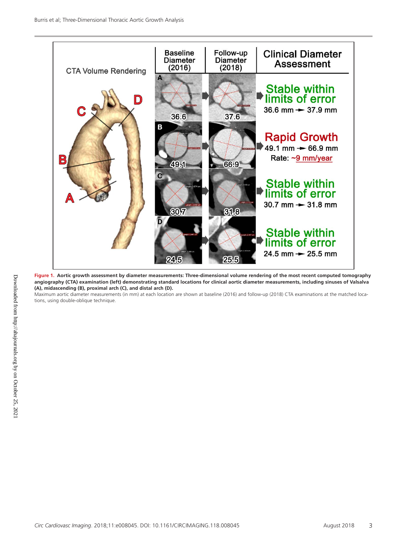

**Figure 1. Aortic growth assessment by diameter measurements: Three-dimensional volume rendering of the most recent computed tomography angiography (CTA) examination (left) demonstrating standard locations for clinical aortic diameter measurements, including sinuses of Valsalva (A), midascending (B), proximal arch (C), and distal arch (D).**

Maximum aortic diameter measurements (in mm) at each location are shown at baseline (2016) and follow-up (2018) CTA examinations at the matched locations, using double-oblique technique.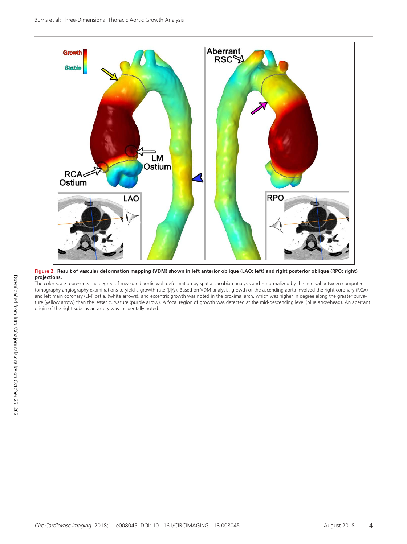

**Figure 2. Result of vascular deformation mapping (VDM) shown in left anterior oblique (LAO; left) and right posterior oblique (RPO; right) projections.**

The color scale represents the degree of measured aortic wall deformation by spatial Jacobian analysis and is normalized by the interval between computed tomography angiography examinations to yield a growth rate (|J|/y). Based on VDM analysis, growth of the ascending aorta involved the right coronary (RCA) and left main coronary (LM) ostia. (white arrows), and eccentric growth was noted in the proximal arch, which was higher in degree along the greater curvature (yellow arrow) than the lesser curvature (purple arrow). A focal region of growth was detected at the mid-descending level (blue arrowhead). An aberrant origin of the right subclavian artery was incidentally noted.